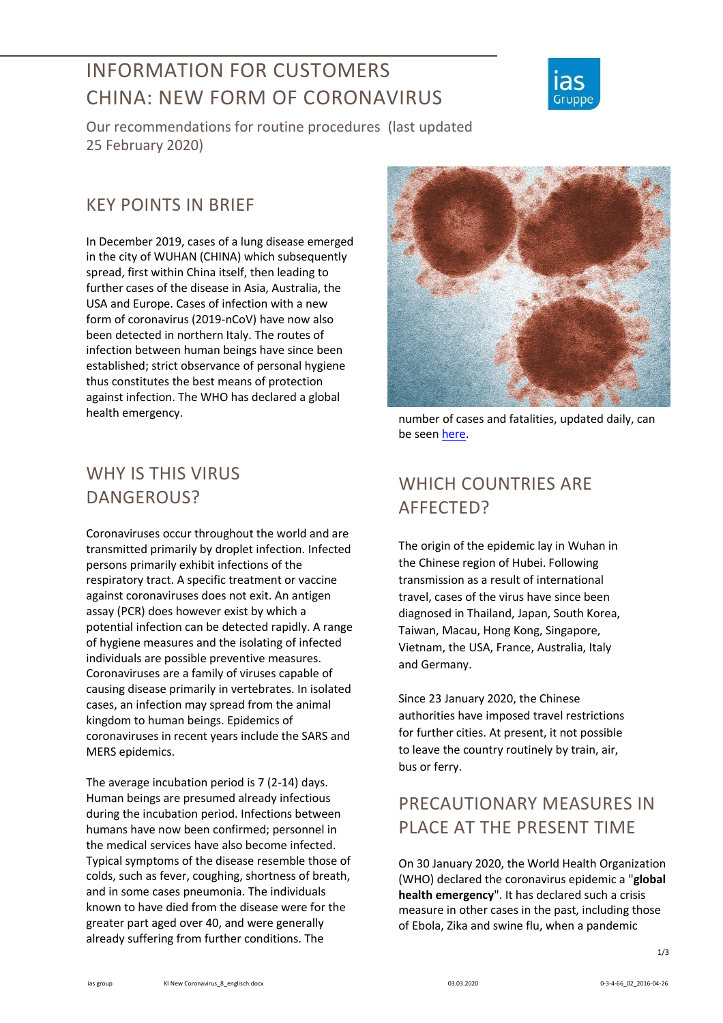# INFORMATION FOR CUSTOMERS CHINA: NEW FORM OF CORONAVIRUS



Our recommendations for routine procedures (last updated 25 February 2020)

#### KEY POINTS IN BRIEF

In December 2019, cases of a lung disease emerged in the city of WUHAN (CHINA) which subsequently spread, first within China itself, then leading to further cases of the disease in Asia, Australia, the USA and Europe. Cases of infection with a new form of coronavirus (2019-nCoV) have now also been detected in northern Italy. The routes of infection between human beings have since been established; strict observance of personal hygiene thus constitutes the best means of protection against infection. The WHO has declared a global health emergency.

### WHY IS THIS VIRUS DANGEROUS?

Coronaviruses occur throughout the world and are transmitted primarily by droplet infection. Infected persons primarily exhibit infections of the respiratory tract. A specific treatment or vaccine against coronaviruses does not exit. An antigen assay (PCR) does however exist by which a potential infection can be detected rapidly. A range of hygiene measures and the isolating of infected individuals are possible preventive measures. Coronaviruses are a family of viruses capable of causing disease primarily in vertebrates. In isolated cases, an infection may spread from the animal kingdom to human beings. Epidemics of coronaviruses in recent years include the SARS and MERS epidemics.

The average incubation period is 7 (2-14) days. Human beings are presumed already infectious during the incubation period. Infections between humans have now been confirmed; personnel in the medical services have also become infected. Typical symptoms of the disease resemble those of colds, such as fever, coughing, shortness of breath, and in some cases pneumonia. The individuals known to have died from the disease were for the greater part aged over 40, and were generally already suffering from further conditions. The



number of cases and fatalities, updated daily, can be see[n here.](https://gisanddata.maps.arcgis.com/apps/opsdashboard/index.html#/bda7594740fd40299423467b48e9ecf6)

## WHICH COUNTRIES ARE AFFECTED?

The origin of the epidemic lay in Wuhan in the Chinese region of Hubei. Following transmission as a result of international travel, cases of the virus have since been diagnosed in Thailand, Japan, South Korea, Taiwan, Macau, Hong Kong, Singapore, Vietnam, the USA, France, Australia, Italy and Germany.

Since 23 January 2020, the Chinese authorities have imposed travel restrictions for further cities. At present, it not possible to leave the country routinely by train, air, bus or ferry.

### PRECAUTIONARY MEASURES IN PLACE AT THE PRESENT TIME

On 30 January 2020, the World Health Organization (WHO) declared the coronavirus epidemic a "**global health emergency**". It has declared such a crisis measure in other cases in the past, including those of Ebola, Zika and swine flu, when a pandemic

1/3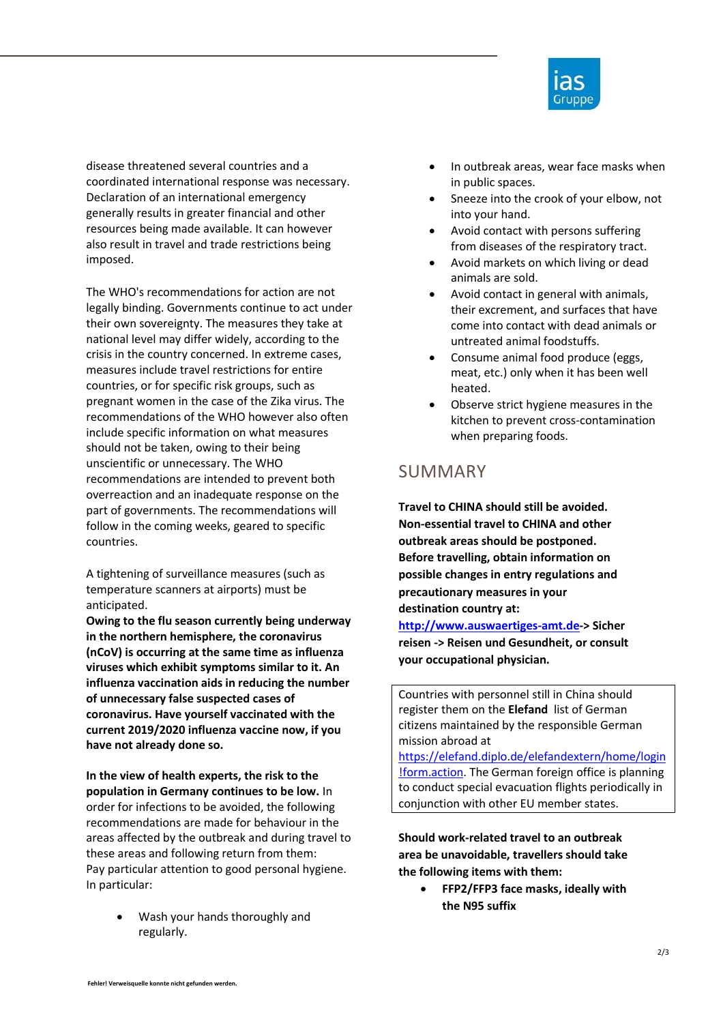

disease threatened several countries and a coordinated international response was necessary. Declaration of an international emergency generally results in greater financial and other resources being made available. It can however also result in travel and trade restrictions being imposed.

The WHO's recommendations for action are not legally binding. Governments continue to act under their own sovereignty. The measures they take at national level may differ widely, according to the crisis in the country concerned. In extreme cases, measures include travel restrictions for entire countries, or for specific risk groups, such as pregnant women in the case of the Zika virus. The recommendations of the WHO however also often include specific information on what measures should not be taken, owing to their being unscientific or unnecessary. The WHO recommendations are intended to prevent both overreaction and an inadequate response on the part of governments. The recommendations will follow in the coming weeks, geared to specific countries.

A tightening of surveillance measures (such as temperature scanners at airports) must be anticipated.

**Owing to the flu season currently being underway in the northern hemisphere, the coronavirus (nCoV) is occurring at the same time as influenza viruses which exhibit symptoms similar to it. An influenza vaccination aids in reducing the number of unnecessary false suspected cases of coronavirus. Have yourself vaccinated with the current 2019/2020 influenza vaccine now, if you have not already done so.** 

**In the view of health experts, the risk to the population in Germany continues to be low.** In order for infections to be avoided, the following recommendations are made for behaviour in the areas affected by the outbreak and during travel to these areas and following return from them: Pay particular attention to good personal hygiene. In particular:

> Wash your hands thoroughly and regularly.

- In outbreak areas, wear face masks when in public spaces.
- Sneeze into the crook of your elbow, not into your hand.
- Avoid contact with persons suffering from diseases of the respiratory tract.
- Avoid markets on which living or dead animals are sold.
- Avoid contact in general with animals, their excrement, and surfaces that have come into contact with dead animals or untreated animal foodstuffs.
- Consume animal food produce (eggs, meat, etc.) only when it has been well heated.
- Observe strict hygiene measures in the kitchen to prevent cross-contamination when preparing foods.

#### SUMMARY

**Travel to CHINA should still be avoided. Non-essential travel to CHINA and other outbreak areas should be postponed. Before travelling, obtain information on possible changes in entry regulations and precautionary measures in your destination country at:** 

**[http://www.auswaertiges-amt.de-](http://www.auswaertiges-amt.de/)> Sicher reisen -> Reisen und Gesundheit, or consult your occupational physician.**

Countries with personnel still in China should register them on the **Elefand** list of German citizens maintained by the responsible German mission abroad at

[https://elefand.diplo.de/elefandextern/home/login](https://elefand.diplo.de/elefandextern/home/login!form.action) [!form.action.](https://elefand.diplo.de/elefandextern/home/login!form.action) The German foreign office is planning to conduct special evacuation flights periodically in conjunction with other EU member states.

**Should work-related travel to an outbreak area be unavoidable, travellers should take the following items with them:**

 **FFP2/FFP3 face masks, ideally with the N95 suffix**